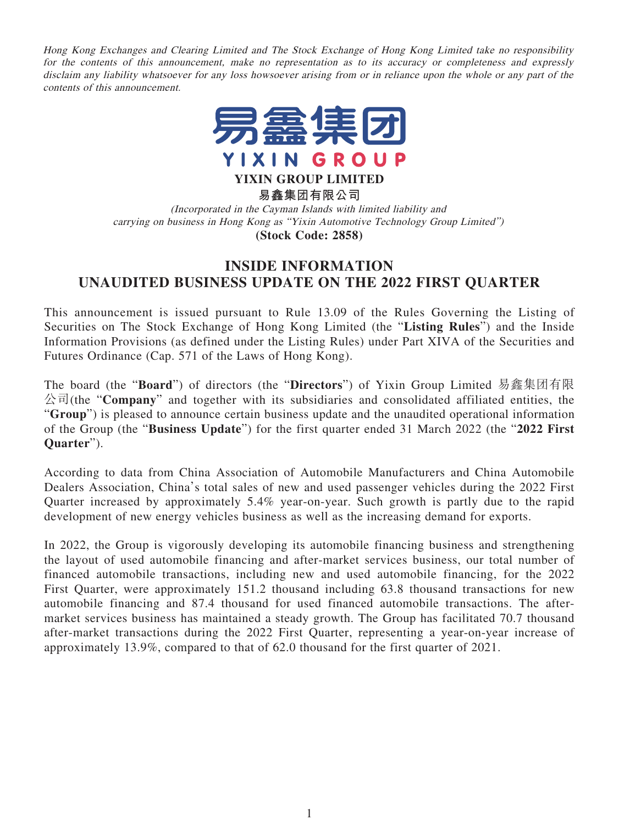Hong Kong Exchanges and Clearing Limited and The Stock Exchange of Hong Kong Limited take no responsibility for the contents of this announcement, make no representation as to its accuracy or completeness and expressly disclaim any liability whatsoever for any loss howsoever arising from or in reliance upon the whole or any part of the contents of this announcement.



**YIXIN GROUP LIMITED**

**易鑫集團有限公司**

(Incorporated in the Cayman Islands with limited liability and carrying on business in Hong Kong as "Yixin Automotive Technology Group Limited") **(Stock Code: 2858)**

## **INSIDE INFORMATION UNAUDITED BUSINESS UPDATE ON THE 2022 FIRST QUARTER**

This announcement is issued pursuant to Rule 13.09 of the Rules Governing the Listing of Securities on The Stock Exchange of Hong Kong Limited (the "**Listing Rules**") and the Inside Information Provisions (as defined under the Listing Rules) under Part XIVA of the Securities and Futures Ordinance (Cap. 571 of the Laws of Hong Kong).

The board (the "**Board**") of directors (the "**Directors**") of Yixin Group Limited 易鑫集團有限 公司(the "**Company**" and together with its subsidiaries and consolidated affiliated entities, the "**Group**") is pleased to announce certain business update and the unaudited operational information of the Group (the "**Business Update**") for the first quarter ended 31 March 2022 (the "**2022 First Quarter**").

According to data from China Association of Automobile Manufacturers and China Automobile Dealers Association, China's total sales of new and used passenger vehicles during the 2022 First Quarter increased by approximately 5.4% year-on-year. Such growth is partly due to the rapid development of new energy vehicles business as well as the increasing demand for exports.

In 2022, the Group is vigorously developing its automobile financing business and strengthening the layout of used automobile financing and after-market services business, our total number of financed automobile transactions, including new and used automobile financing, for the 2022 First Quarter, were approximately 151.2 thousand including 63.8 thousand transactions for new automobile financing and 87.4 thousand for used financed automobile transactions. The aftermarket services business has maintained a steady growth. The Group has facilitated 70.7 thousand after-market transactions during the 2022 First Quarter, representing a year-on-year increase of approximately 13.9%, compared to that of 62.0 thousand for the first quarter of 2021.